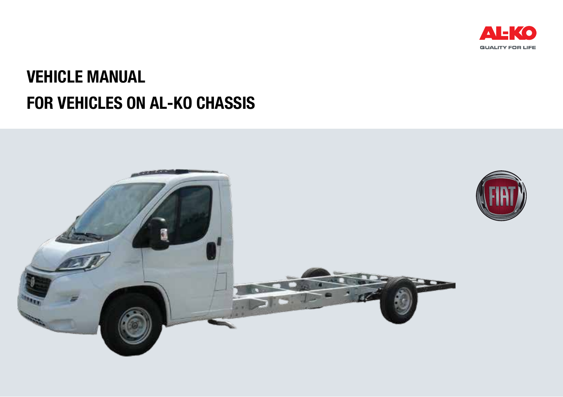

# for vehicles on AL-KO chassis Vehicle manual

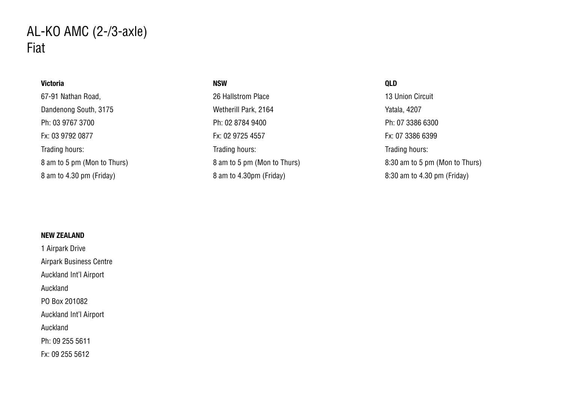## Victoria 67-91 Nathan Road, Dandenong South, 3175 Ph: 03 9767 3700 Fx: 03 9792 0877 Trading hours: 8 am to 5 pm (Mon to Thurs) 8 am to 4.30 pm (Friday)

#### NSW

26 Hallstrom Place Wetherill Park, 2164 Ph: 02 8784 9400 Fx: 02 9725 4557 Trading hours: 8 am to 5 pm (Mon to Thurs) 8 am to 4.30pm (Friday)

#### QLD

13 Union Circuit Yatala, 4207 Ph: 07 3386 6300 Fx: 07 3386 6399 Trading hours: 8:30 am to 5 pm (Mon to Thurs) 8:30 am to 4.30 pm (Friday)

## NEW ZEALAND

1 Airpark Drive Airpark Business Centre Auckland Int'l Airport Auckland PO Box 201082 Auckland Int'l Airport Auckland Ph: 09 255 5611 Fx: 09 255 5612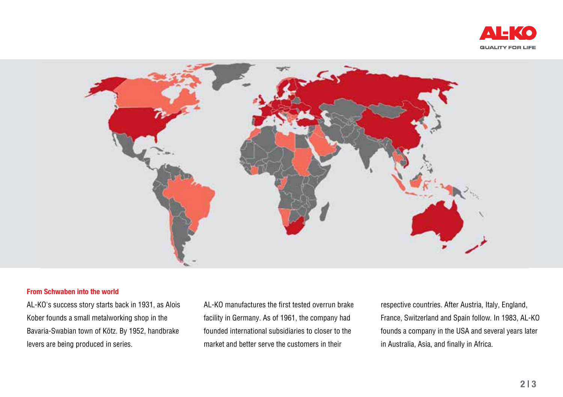



#### From Schwaben into the world

AL-KO's success story starts back in 1931, as Alois Kober founds a small metalworking shop in the Bavaria-Swabian town of Kötz. By 1952, handbrake levers are being produced in series.

AL-KO manufactures the first tested overrun brake facility in Germany. As of 1961, the company had founded international subsidiaries to closer to the market and better serve the customers in their

respective countries. After Austria, Italy, England, France, Switzerland and Spain follow. In 1983, AL-KO founds a company in the USA and several years later in Australia, Asia, and finally in Africa.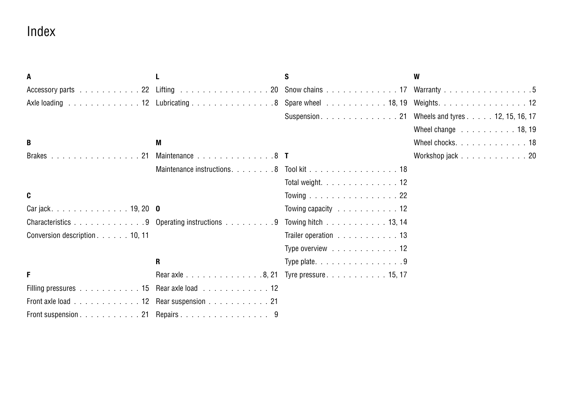## Index

| A                                     |                                                                                             | s                                                            | W                   |
|---------------------------------------|---------------------------------------------------------------------------------------------|--------------------------------------------------------------|---------------------|
|                                       |                                                                                             | Accessory parts 22 Lifting 20 Snow chains 17 Warranty 5      |                     |
|                                       |                                                                                             | Axle loading 12 Lubricating 8 Spare wheel 18, 19 Weights. 12 |                     |
|                                       |                                                                                             |                                                              |                     |
|                                       |                                                                                             |                                                              | Wheel change 18, 19 |
| B                                     | M                                                                                           |                                                              | Wheel chocks. 18    |
| Brakes 21                             | Maintenance 8 T                                                                             |                                                              | Workshop jack 20    |
|                                       |                                                                                             |                                                              |                     |
|                                       |                                                                                             | Total weight. $\ldots$ , $\ldots$ , $\ldots$ , $\ldots$ , 12 |                     |
| C                                     |                                                                                             | Towing 22                                                    |                     |
|                                       |                                                                                             | Towing capacity $\ldots$ , ,  12                             |                     |
|                                       | Characteristics 9 Operating instructions 9 Towing hitch 13, 14                              |                                                              |                     |
| Conversion description10, 11          |                                                                                             | Trailer operation 13                                         |                     |
|                                       |                                                                                             | Type overview 12                                             |                     |
|                                       | $\mathbf{R}$                                                                                | Type plate. $\ldots$ 9                                       |                     |
| F                                     | Rear axle 8, 21 Tyre pressure 15, 17                                                        |                                                              |                     |
|                                       | Filling pressures entertainment of the state of the Rear axle load entertainment and the 12 |                                                              |                     |
| Front axle load 12 Rear suspension 21 |                                                                                             |                                                              |                     |
| Front suspension 21 Repairs 9         |                                                                                             |                                                              |                     |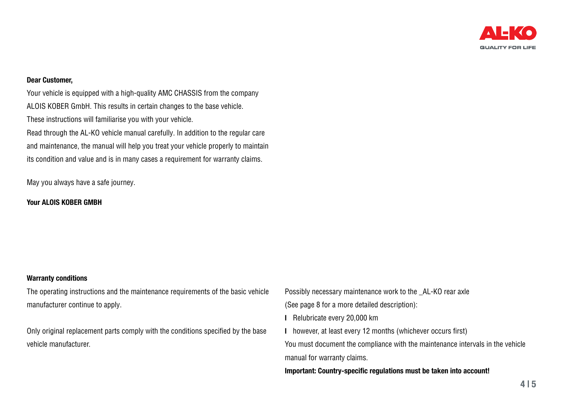

#### Dear Customer,

Your vehicle is equipped with a high-quality AMC CHASSIS from the company ALOIS KOBER GmbH. This results in certain changes to the base vehicle. These instructions will familiarise you with your vehicle. Read through the AL-KO vehicle manual carefully. In addition to the regular care and maintenance, the manual will help you treat your vehicle properly to maintain its condition and value and is in many cases a requirement for warranty claims.

May you always have a safe journey.

### Your ALOIS KORFR GMRH

## Warranty conditions

The operating instructions and the maintenance requirements of the basic vehicle manufacturer continue to apply.

Only original replacement parts comply with the conditions specified by the base vehicle manufacturer.

Possibly necessary maintenance work to the AL-KO rear axle

(See page 8 for a more detailed description):

- l Relubricate every 20,000 km
- l however, at least every 12 months (whichever occurs first)

You must document the compliance with the maintenance intervals in the vehicle manual for warranty claims.

Important: Country-specific regulations must be taken into account!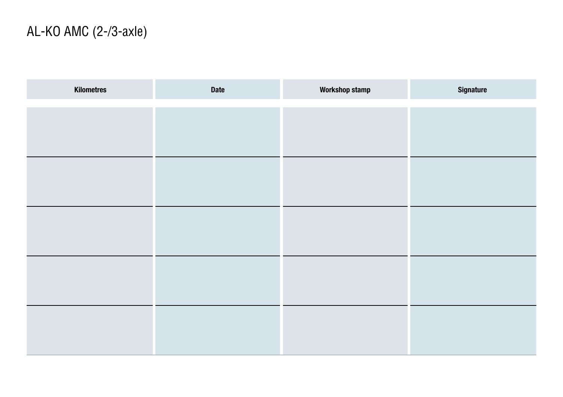| Kilometres | Date | Workshop stamp | Signature |
|------------|------|----------------|-----------|
|            |      |                |           |
|            |      |                |           |
|            |      |                |           |
|            |      |                |           |
|            |      |                |           |
|            |      |                |           |
|            |      |                |           |
|            |      |                |           |
|            |      |                |           |
|            |      |                |           |
|            |      |                |           |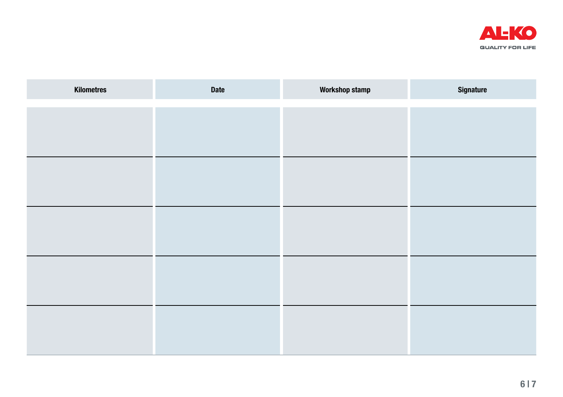

| Kilometres | Date | <b>Workshop stamp</b> | <b>Signature</b> |
|------------|------|-----------------------|------------------|
|            |      |                       |                  |
|            |      |                       |                  |
|            |      |                       |                  |
|            |      |                       |                  |
|            |      |                       |                  |
|            |      |                       |                  |
|            |      |                       |                  |
|            |      |                       |                  |
|            |      |                       |                  |
|            |      |                       |                  |
|            |      |                       |                  |
|            |      |                       |                  |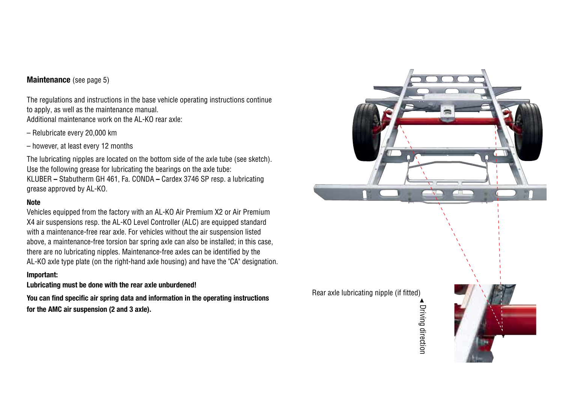## Maintenance (see page 5)

The regulations and instructions in the base vehicle operating instructions continue to apply, as well as the maintenance manual. Additional maintenance work on the AL-KO rear axle:

- Relubricate every 20,000 km
- however, at least every 12 months

The lubricating nipples are located on the bottom side of the axle tube (see sketch). Use the following grease for lubricating the bearings on the axle tube: KLUBER – Stabutherm GH 461, Fa. CONDA – Cardex 3746 SP resp. a lubricating grease approved by AL-KO.

## Note

Vehicles equipped from the factory with an AL-KO Air Premium X2 or Air Premium X4 air suspensions resp. the AL-KO Level Controller (ALC) are equipped standard with a maintenance-free rear axle. For vehicles without the air suspension listed above, a maintenance-free torsion bar spring axle can also be installed; in this case, there are no lubricating nipples. Maintenance-free axles can be identified by the AL-KO axle type plate (on the right-hand axle housing) and have the "CA" designation.

### Important:

Lubricating must be done with the rear axle unburdened!

You can find specific air spring data and information in the operating instructions for the AMC air suspension (2 and 3 axle).



Driving direction Driving direction

Rear axle lubricating nipple (if fitted)

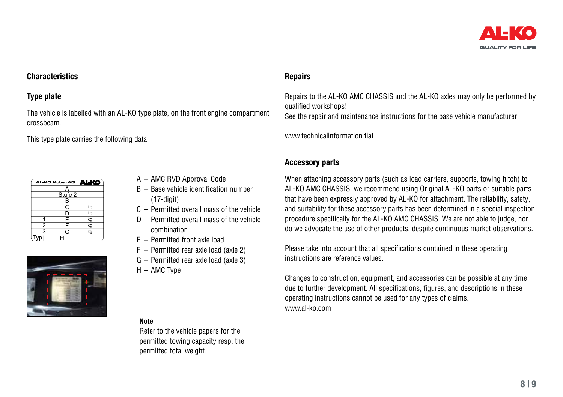

## **Characteristics**

## Type plate

The vehicle is labelled with an AL-KO type plate, on the front engine compartment crossbeam.

This type plate carries the following data:

| <b>ALKO</b> |
|-------------|
|             |
| Stufe 2     |
|             |
| kg          |
| kg          |
| kg          |
| kg          |
| kg          |
|             |
|             |



- A AMC RVD Approval Code
- B Base vehicle identification number  $(17$ -digit $)$
- C Permitted overall mass of the vehicle
- D Permitted overall mass of the vehicle combination
- E Permitted front axle load
- F Permitted rear axle load (axle 2)
- G Permitted rear axle load (axle 3)
- H AMC Type

#### **Note**

Refer to the vehicle papers for the permitted towing capacity resp. the permitted total weight.

## **Repairs**

Repairs to the AL-KO AMC CHASSIS and the AL-KO axles may only be performed by qualified workshops!

See the repair and maintenance instructions for the base vehicle manufacturer

www.technicalinformation.fiat

## Accessory parts

When attaching accessory parts (such as load carriers, supports, towing hitch) to AL-KO AMC CHASSIS, we recommend using Original AL-KO parts or suitable parts that have been expressly approved by AL-KO for attachment. The reliability, safety, and suitability for these accessory parts has been determined in a special inspection procedure specifically for the AL-KO AMC CHASSIS. We are not able to judge, nor do we advocate the use of other products, despite continuous market observations.

Please take into account that all specifications contained in these operating instructions are reference values.

Changes to construction, equipment, and accessories can be possible at any time due to further development. All specifications, figures, and descriptions in these operating instructions cannot be used for any types of claims. www.al-ko.com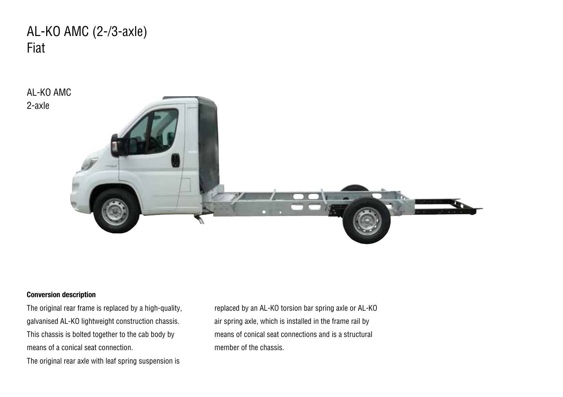

## Conversion description

The original rear frame is replaced by a high-quality, galvanised AL-KO lightweight construction chassis. This chassis is bolted together to the cab body by means of a conical seat connection.

The original rear axle with leaf spring suspension is

replaced by an AL-KO torsion bar spring axle or AL-KO air spring axle, which is installed in the frame rail by means of conical seat connections and is a structural member of the chassis.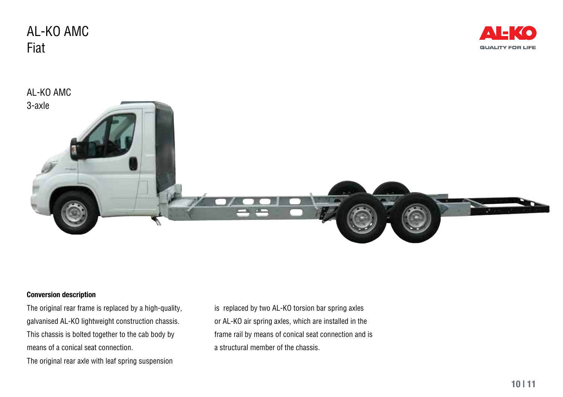AL-KO AMC Fiat





## Conversion description

The original rear frame is replaced by a high-quality, galvanised AL-KO lightweight construction chassis. This chassis is bolted together to the cab body by means of a conical seat connection.

The original rear axle with leaf spring suspension

is replaced by two AL-KO torsion bar spring axles or AL-KO air spring axles, which are installed in the frame rail by means of conical seat connection and is a structural member of the chassis.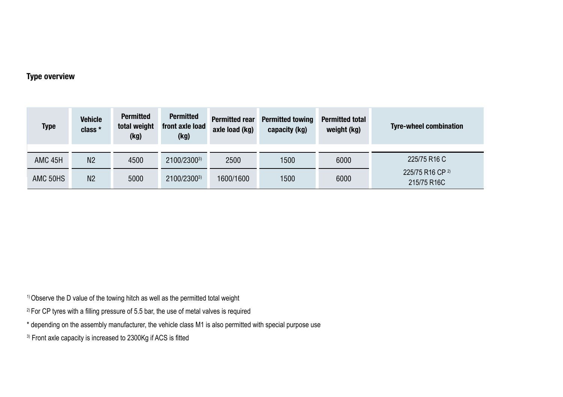## Type overview

| Type               | <b>Vehicle</b><br>class * | <b>Permitted</b><br>total weight<br>(kg) | <b>Permitted</b><br>front axle load<br>(kg) | <b>Permitted rear</b><br>axle load (kg) | <b>Permitted towing</b><br>capacity (kg) | <b>Permitted total</b><br>weight (kg) | <b>Tyre-wheel combination</b>   |  |
|--------------------|---------------------------|------------------------------------------|---------------------------------------------|-----------------------------------------|------------------------------------------|---------------------------------------|---------------------------------|--|
| AMC <sub>45H</sub> | N <sub>2</sub>            | 4500                                     | 2100/23003)                                 | 2500                                    | 1500                                     | 6000                                  | 225/75 R16 C                    |  |
| AMC 50HS           | N <sub>2</sub>            | 5000                                     | 2100/23003)                                 | 1600/1600                               | 1500                                     | 6000                                  | 225/75 R16 CP 2)<br>215/75 R16C |  |

<sup>1)</sup> Observe the D value of the towing hitch as well as the permitted total weight

- $2)$  For CP tyres with a filling pressure of 5.5 bar, the use of metal valves is required
- \* depending on the assembly manufacturer, the vehicle class M1 is also permitted with special purpose use
- <sup>3)</sup> Front axle capacity is increased to 2300Kg if ACS is fitted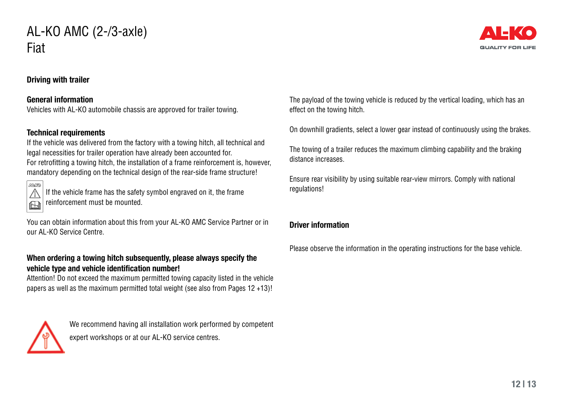

## Driving with trailer

## General information

Vehicles with AL-KO automobile chassis are approved for trailer towing.

## Technical requirements

If the vehicle was delivered from the factory with a towing hitch, all technical and legal necessities for trailer operation have already been accounted for. For retrofitting a towing hitch, the installation of a frame reinforcement is, however, mandatory depending on the technical design of the rear-side frame structure!



If the vehicle frame has the safety symbol engraved on it, the frame reinforcement must be mounted.

You can obtain information about this from your AL-KO AMC Service Partner or in our AL-KO Service Centre.

## When ordering a towing hitch subsequently, please always specify the vehicle type and vehicle identification number!

Attention! Do not exceed the maximum permitted towing capacity listed in the vehicle papers as well as the maximum permitted total weight (see also from Pages 12 +13)!



We recommend having all installation work performed by competent expert workshops or at our AL-KO service centres.

The payload of the towing vehicle is reduced by the vertical loading, which has an effect on the towing hitch.

On downhill gradients, select a lower gear instead of continuously using the brakes.

The towing of a trailer reduces the maximum climbing capability and the braking distance increases.

Ensure rear visibility by using suitable rear-view mirrors. Comply with national regulations!

## Driver information

Please observe the information in the operating instructions for the base vehicle.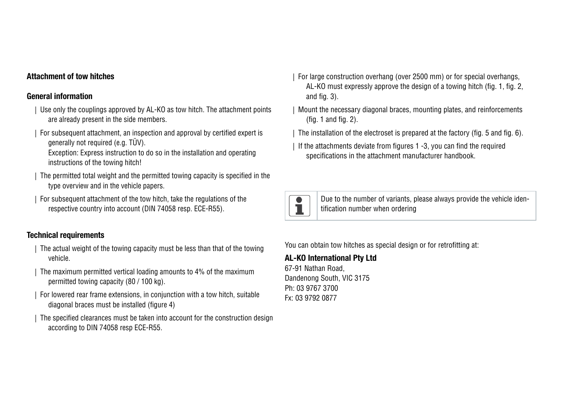## Attachment of tow hitches

## General information

- | Use only the couplings approved by AL-KO as tow hitch. The attachment points are already present in the side members.
- | For subsequent attachment, an inspection and approval by certified expert is generally not required (e.g. TÜV).

Exception: Express instruction to do so in the installation and operating instructions of the towing hitch!

- | The permitted total weight and the permitted towing capacity is specified in the type overview and in the vehicle papers.
- | For subsequent attachment of the tow hitch, take the regulations of the respective country into account (DIN 74058 resp. ECE-R55).

## Technical requirements

- | The actual weight of the towing capacity must be less than that of the towing vehicle.
- | The maximum permitted vertical loading amounts to 4% of the maximum permitted towing capacity (80 / 100 kg).
- | For lowered rear frame extensions, in conjunction with a tow hitch, suitable diagonal braces must be installed (figure 4)
- The specified clearances must be taken into account for the construction design according to DIN 74058 resp ECE-R55.
- | For large construction overhang (over 2500 mm) or for special overhangs, AL-KO must expressly approve the design of a towing hitch (fig. 1, fig. 2, and fig. 3).
- | Mount the necessary diagonal braces, mounting plates, and reinforcements (fig. 1 and fig. 2).
- | The installation of the electroset is prepared at the factory (fig. 5 and fig. 6).
- If the attachments deviate from figures 1 -3, you can find the required specifications in the attachment manufacturer handbook.



Due to the number of variants, please always provide the vehicle identification number when ordering

You can obtain tow hitches as special design or for retrofitting at:

## AL-KO International Pty Ltd

67-91 Nathan Road, Dandenong South, VIC 3175 Ph: 03 9767 3700 Fx: 03 9792 0877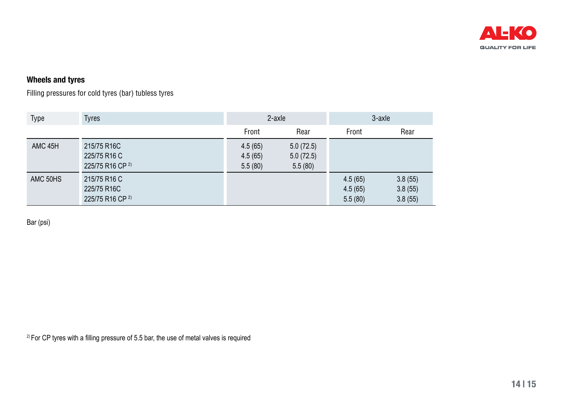

## Wheels and tyres

Filling pressures for cold tyres (bar) tubless tyres

| <b>Type</b>        | Tyres                                                      | 2-axle                        |                                   | 3-axle                        |                               |
|--------------------|------------------------------------------------------------|-------------------------------|-----------------------------------|-------------------------------|-------------------------------|
|                    |                                                            | Front                         | Rear                              | Front                         | Rear                          |
| AMC <sub>45H</sub> | 215/75 R16C<br>225/75 R16 C<br>225/75 R16 CP <sup>2)</sup> | 4.5(65)<br>4.5(65)<br>5.5(80) | 5.0(72.5)<br>5.0(72.5)<br>5.5(80) |                               |                               |
| AMC 50HS           | 215/75 R16 C<br>225/75 R16C<br>225/75 R16 CP <sup>2)</sup> |                               |                                   | 4.5(65)<br>4.5(65)<br>5.5(80) | 3.8(55)<br>3.8(55)<br>3.8(55) |

Bar (psi)

 $2$ ) For CP tyres with a filling pressure of 5.5 bar, the use of metal valves is required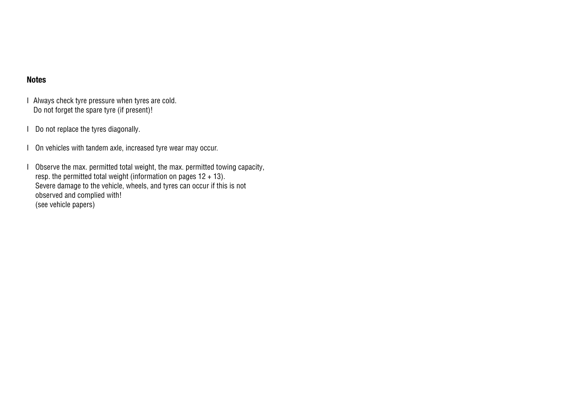## Notes

- I Always check tyre pressure when tyres are cold. Do not forget the spare tyre (if present)!
- I Do not replace the tyres diagonally.
- I On vehicles with tandem axle, increased tyre wear may occur.
- I Observe the max. permitted total weight, the max. permitted towing capacity, resp. the permitted total weight (information on pages  $12 + 13$ ). Severe damage to the vehicle, wheels, and tyres can occur if this is not observed and complied with! (see vehicle papers)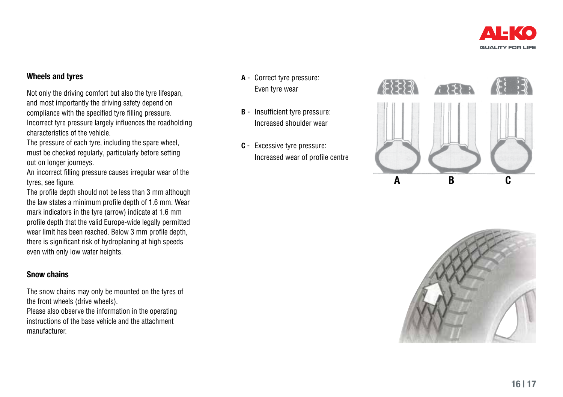

## Wheels and tyres

Not only the driving comfort but also the tyre lifespan, and most importantly the driving safety depend on compliance with the specified tyre filling pressure. Incorrect tyre pressure largely influences the roadholding characteristics of the vehicle.

The pressure of each tyre, including the spare wheel. must be checked regularly, particularly before setting out on longer journeys.

An incorrect filling pressure causes irregular wear of the tyres, see figure.

The profile depth should not be less than 3 mm although the law states a minimum profile depth of 1.6 mm. Wear mark indicators in the tyre (arrow) indicate at 1.6 mm profile depth that the valid Europe-wide legally permitted wear limit has been reached. Below 3 mm profile depth, there is significant risk of hydroplaning at high speeds even with only low water heights.

## Snow chains

The snow chains may only be mounted on the tyres of the front wheels (drive wheels).

Please also observe the information in the operating instructions of the base vehicle and the attachment manufacturer.

- A Correct tyre pressure: Even tyre wear
- B Insufficient tyre pressure: Increased shoulder wear
- C Excessive tyre pressure: Increased wear of profile centre



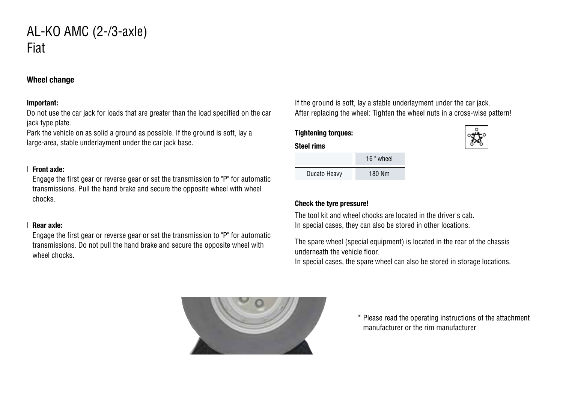## Wheel change

### Important:

Do not use the car jack for loads that are greater than the load specified on the car jack type plate.

Park the vehicle on as solid a ground as possible. If the ground is soft, lay a large-area, stable underlayment under the car jack base.

### I Front axle:

Engage the first gear or reverse gear or set the transmission to "P" for automatic transmissions. Pull the hand brake and secure the opposite wheel with wheel chocks.

## I Rear axle:

Engage the first gear or reverse gear or set the transmission to "P" for automatic transmissions. Do not pull the hand brake and secure the opposite wheel with wheel chocks.

If the ground is soft, lay a stable underlayment under the car jack. After replacing the wheel: Tighten the wheel nuts in a cross-wise pattern!

## Tightening torques: Steel rims

|              | 16 " wheel |
|--------------|------------|
| Ducato Heavy | 180 Nm     |

### Check the tyre pressure!

The tool kit and wheel chocks are located in the driver's cab. In special cases, they can also be stored in other locations.

The spare wheel (special equipment) is located in the rear of the chassis underneath the vehicle floor.

In special cases, the spare wheel can also be stored in storage locations.



\* Please read the operating instructions of the attachment manufacturer or the rim manufacturer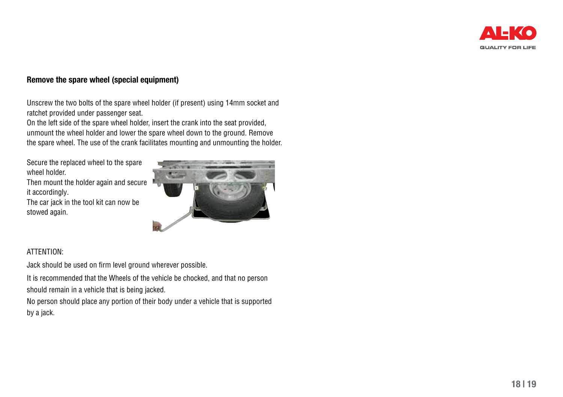

## Remove the spare wheel (special equipment)

Unscrew the two bolts of the spare wheel holder (if present) using 14mm socket and ratchet provided under passenger seat.

On the left side of the spare wheel holder, insert the crank into the seat provided, unmount the wheel holder and lower the spare wheel down to the ground. Remove the spare wheel. The use of the crank facilitates mounting and unmounting the holder.

Secure the replaced wheel to the spare wheel holder.

Then mount the holder again and secure it accordingly.

The car jack in the tool kit can now be stowed again.



## ATTENTION:

Jack should be used on firm level ground wherever possible.

It is recommended that the Wheels of the vehicle be chocked, and that no person should remain in a vehicle that is being jacked.

No person should place any portion of their body under a vehicle that is supported by a jack.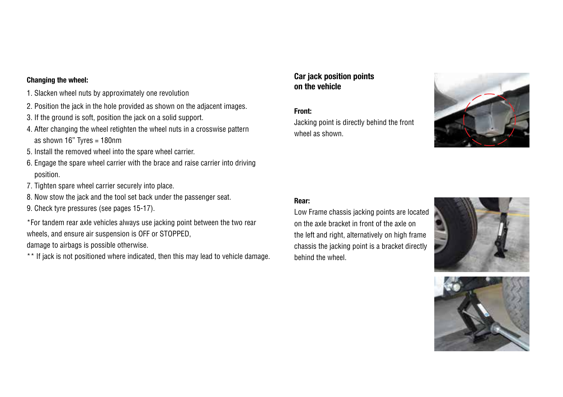## Changing the wheel:

- 1. Slacken wheel nuts by approximately one revolution
- 2. Position the jack in the hole provided as shown on the adjacent images.
- 3. If the ground is soft, position the jack on a solid support.
- 4. After changing the wheel retighten the wheel nuts in a crosswise pattern as shown 16" Tyres = 180nm
- 5. Install the removed wheel into the spare wheel carrier.
- 6. Engage the spare wheel carrier with the brace and raise carrier into driving position.
- 7. Tighten spare wheel carrier securely into place.
- 8. Now stow the jack and the tool set back under the passenger seat.
- 9. Check tyre pressures (see pages 15-17).

\*For tandem rear axle vehicles always use jacking point between the two rear wheels, and ensure air suspension is OFF or STOPPED,

damage to airbags is possible otherwise.

\*\* If jack is not positioned where indicated, then this may lead to vehicle damage.

## Car jack position points on the vehicle

## Front:

Jacking point is directly behind the front wheel as shown.



### Rear:

Low Frame chassis jacking points are located on the axle bracket in front of the axle on the left and right, alternatively on high frame chassis the jacking point is a bracket directly behind the wheel.



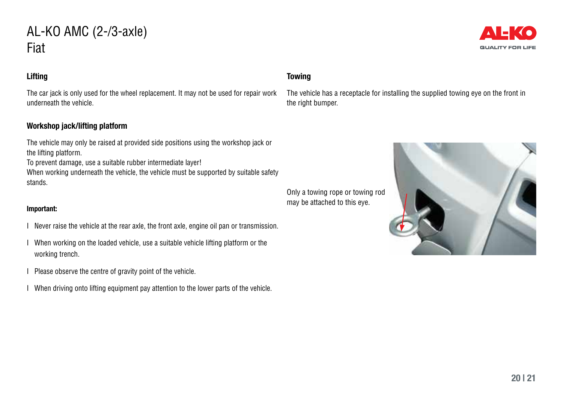## Lifting

The car jack is only used for the wheel replacement. It may not be used for repair work underneath the vehicle.

## Workshop jack/lifting platform

The vehicle may only be raised at provided side positions using the workshop jack or the lifting platform.

To prevent damage, use a suitable rubber intermediate layer!

When working underneath the vehicle, the vehicle must be supported by suitable safety stands.

### Important:

- I Never raise the vehicle at the rear axle, the front axle, engine oil pan or transmission.
- I When working on the loaded vehicle, use a suitable vehicle lifting platform or the working trench.
- I Please observe the centre of gravity point of the vehicle.
- I When driving onto lifting equipment pay attention to the lower parts of the vehicle.



## **Towing**

may be attached to this eye.

The vehicle has a receptacle for installing the supplied towing eye on the front in the right bumper.

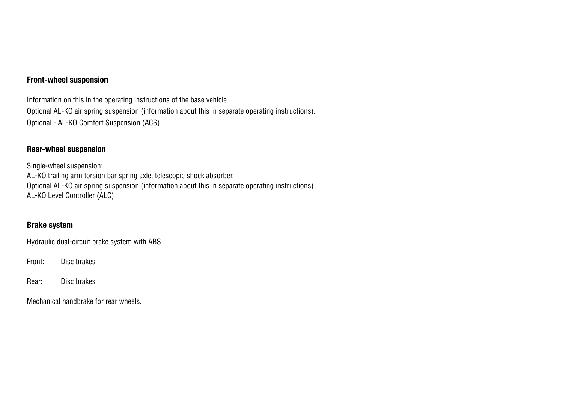## Front-wheel suspension

Information on this in the operating instructions of the base vehicle. Optional AL-KO air spring suspension (information about this in separate operating instructions). Optional - AL-KO Comfort Suspension (ACS)

## Rear-wheel suspension

Single-wheel suspension: AL-KO trailing arm torsion bar spring axle, telescopic shock absorber. Optional AL-KO air spring suspension (information about this in separate operating instructions). AL-KO Level Controller (ALC)

## Brake system

Hydraulic dual-circuit brake system with ABS.

Front: Disc brakes

Rear: Disc brakes

Mechanical handbrake for rear wheels.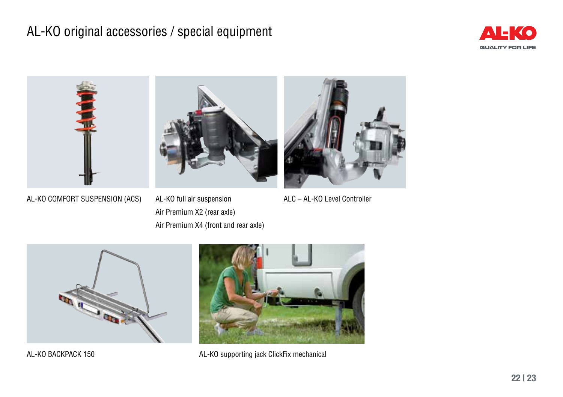## AL-KO original accessories / special equipment





AL-KO COMFORT SUSPENSION (ACS)

AL-KO full air suspension Air Premium X2 (rear axle) Air Premium X4 (front and rear axle)



ALC – AL-KO Level Controller



AL-KO BACKPACK 150



AL-KO supporting jack ClickFix mechanical